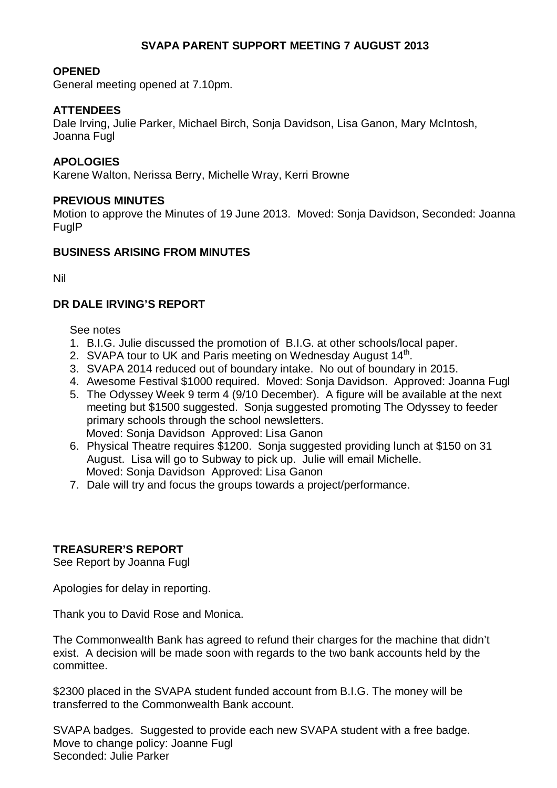# **SVAPA PARENT SUPPORT MEETING 7 AUGUST 2013**

#### **OPENED**

General meeting opened at 7.10pm.

### **ATTENDEES**

Dale Irving, Julie Parker, Michael Birch, Sonja Davidson, Lisa Ganon, Mary McIntosh, Joanna Fugl

### **APOLOGIES**

Karene Walton, Nerissa Berry, Michelle Wray, Kerri Browne

### **PREVIOUS MINUTES**

Motion to approve the Minutes of 19 June 2013. Moved: Sonja Davidson, Seconded: Joanna FuglP

### **BUSINESS ARISING FROM MINUTES**

Nil

### **DR DALE IRVING'S REPORT**

See notes

- 1. B.I.G. Julie discussed the promotion of B.I.G. at other schools/local paper.
- 2. SVAPA tour to UK and Paris meeting on Wednesday August 14<sup>th</sup>.
- 3. SVAPA 2014 reduced out of boundary intake. No out of boundary in 2015.
- 4. Awesome Festival \$1000 required. Moved: Sonja Davidson. Approved: Joanna Fugl
- 5. The Odyssey Week 9 term 4 (9/10 December). A figure will be available at the next meeting but \$1500 suggested. Sonja suggested promoting The Odyssey to feeder primary schools through the school newsletters. Moved: Sonja Davidson Approved: Lisa Ganon
- 6. Physical Theatre requires \$1200. Sonja suggested providing lunch at \$150 on 31 August. Lisa will go to Subway to pick up. Julie will email Michelle. Moved: Sonja Davidson Approved: Lisa Ganon
- 7. Dale will try and focus the groups towards a project/performance.

### **TREASURER'S REPORT**

See Report by Joanna Fugl

Apologies for delay in reporting.

Thank you to David Rose and Monica.

The Commonwealth Bank has agreed to refund their charges for the machine that didn't exist. A decision will be made soon with regards to the two bank accounts held by the committee.

\$2300 placed in the SVAPA student funded account from B.I.G. The money will be transferred to the Commonwealth Bank account.

SVAPA badges. Suggested to provide each new SVAPA student with a free badge. Move to change policy: Joanne Fugl Seconded: Julie Parker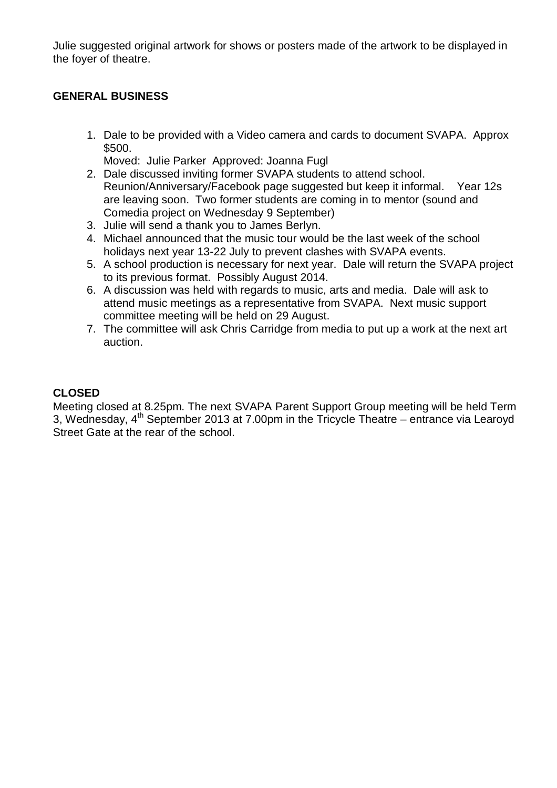Julie suggested original artwork for shows or posters made of the artwork to be displayed in the foyer of theatre.

# **GENERAL BUSINESS**

- 1. Dale to be provided with a Video camera and cards to document SVAPA. Approx \$500.
	- Moved: Julie Parker Approved: Joanna Fugl
- 2. Dale discussed inviting former SVAPA students to attend school. Reunion/Anniversary/Facebook page suggested but keep it informal. Year 12s are leaving soon. Two former students are coming in to mentor (sound and Comedia project on Wednesday 9 September)
- 3. Julie will send a thank you to James Berlyn.
- 4. Michael announced that the music tour would be the last week of the school holidays next year 13-22 July to prevent clashes with SVAPA events.
- 5. A school production is necessary for next year. Dale will return the SVAPA project to its previous format. Possibly August 2014.
- 6. A discussion was held with regards to music, arts and media. Dale will ask to attend music meetings as a representative from SVAPA. Next music support committee meeting will be held on 29 August.
- 7. The committee will ask Chris Carridge from media to put up a work at the next art auction.

# **CLOSED**

Meeting closed at 8.25pm. The next SVAPA Parent Support Group meeting will be held Term 3, Wednesday,  $4<sup>th</sup>$  September 2013 at 7.00pm in the Tricycle Theatre – entrance via Learoyd Street Gate at the rear of the school.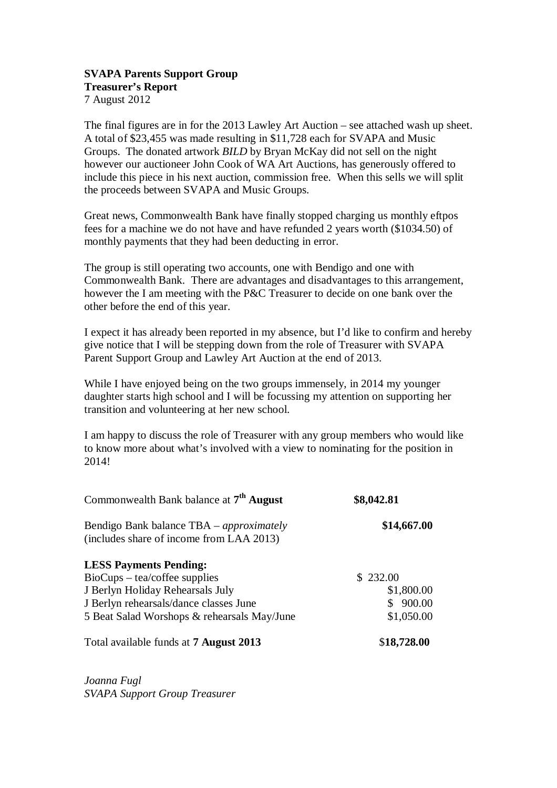#### **SVAPA Parents Support Group Treasurer's Report**  7 August 2012

The final figures are in for the 2013 Lawley Art Auction – see attached wash up sheet. A total of \$23,455 was made resulting in \$11,728 each for SVAPA and Music Groups. The donated artwork *BILD* by Bryan McKay did not sell on the night however our auctioneer John Cook of WA Art Auctions, has generously offered to include this piece in his next auction, commission free. When this sells we will split the proceeds between SVAPA and Music Groups.

Great news, Commonwealth Bank have finally stopped charging us monthly eftpos fees for a machine we do not have and have refunded 2 years worth (\$1034.50) of monthly payments that they had been deducting in error.

The group is still operating two accounts, one with Bendigo and one with Commonwealth Bank. There are advantages and disadvantages to this arrangement, however the I am meeting with the P&C Treasurer to decide on one bank over the other before the end of this year.

I expect it has already been reported in my absence, but I'd like to confirm and hereby give notice that I will be stepping down from the role of Treasurer with SVAPA Parent Support Group and Lawley Art Auction at the end of 2013.

While I have enjoyed being on the two groups immensely, in 2014 my younger daughter starts high school and I will be focussing my attention on supporting her transition and volunteering at her new school.

I am happy to discuss the role of Treasurer with any group members who would like to know more about what's involved with a view to nominating for the position in 2014!

| Commonwealth Bank balance at 7 <sup>th</sup> August                                  | \$8,042.81  |
|--------------------------------------------------------------------------------------|-------------|
| Bendigo Bank balance TBA – approximately<br>(includes share of income from LAA 2013) | \$14,667.00 |
| <b>LESS Payments Pending:</b>                                                        |             |
| $BioCups - tea/coffee$ supplies                                                      | \$232.00    |
| J Berlyn Holiday Rehearsals July                                                     | \$1,800.00  |
| J Berlyn rehearsals/dance classes June                                               | 900.00      |
| 5 Beat Salad Worshops & rehearsals May/June                                          | \$1,050.00  |
| Total available funds at <b>7 August 2013</b>                                        | \$18,728.00 |

*Joanna Fugl SVAPA Support Group Treasurer*